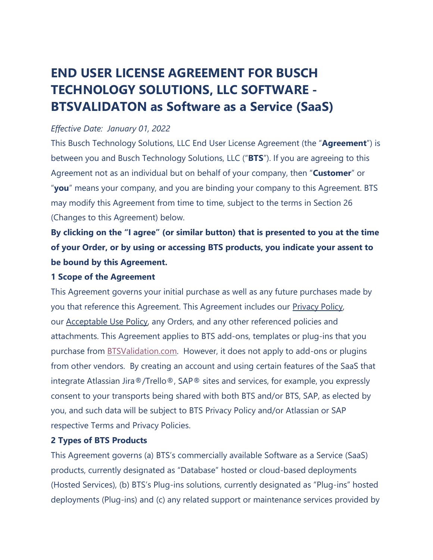# **END USER LICENSE AGREEMENT FOR BUSCH TECHNOLOGY SOLUTIONS, LLC SOFTWARE - BTSVALIDATON as Software as a Service (SaaS)**

## *Effective Date: January 01, 2022*

This Busch Technology Solutions, LLC End User License Agreement (the "**Agreement**") is between you and Busch Technology Solutions, LLC ("**BTS**"). If you are agreeing to this Agreement not as an individual but on behalf of your company, then "**Customer**" or "**you**" means your company, and you are binding your company to this Agreement. BTS may modify this Agreement from time to time, subject to the terms in Section 26 (Changes to this Agreement) below.

**By clicking on the "I agree" (or similar button) that is presented to you at the time of your Order, or by using or accessing BTS products, you indicate your assent to be bound by this Agreement.**

## **1 Scope of the Agreement**

This Agreement governs your initial purchase as well as any future purchases made by you that reference this Agreement. This Agreement includes our [Privacy](https://www.buschtechsolutions.com/legal-notices/bts-privacy-policy/) Policy, our [Acceptable](https://www.buschtechsolutions.com/legal-notices/) Use Policy, any Orders, and any other referenced policies and attachments. This Agreement applies to BTS add-ons, templates or plug-ins that you purchase from [BTSValidation.com.](https://www.btsvalidation.com/) However, it does not apply to add-ons or plugins from other vendors. By creating an account and using certain features of the SaaS that integrate Atlassian Jira®/Trello®, SAP® sites and services, for example, you expressly consent to your transports being shared with both BTS and/or BTS, SAP, as elected by you, and such data will be subject to BTS Privacy Policy and/or Atlassian or SAP respective Terms and Privacy Policies.

## **2 Types of BTS Products**

This Agreement governs (a) BTS's commercially available Software as a Service (SaaS) products, currently designated as "Database" hosted or cloud-based deployments (Hosted Services), (b) BTS's Plug-ins solutions, currently designated as "Plug-ins" hosted deployments (Plug-ins) and (c) any related support or maintenance services provided by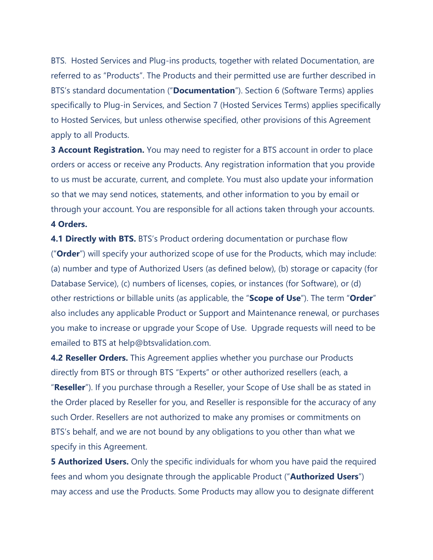BTS. Hosted Services and Plug-ins products, together with related Documentation, are referred to as "Products". The Products and their permitted use are further described in BTS's standard documentation ("**Documentation**"). Section 6 (Software Terms) applies specifically to Plug-in Services, and Section 7 (Hosted Services Terms) applies specifically to Hosted Services, but unless otherwise specified, other provisions of this Agreement apply to all Products.

**3 Account Registration.** You may need to register for a BTS account in order to place orders or access or receive any Products. Any registration information that you provide to us must be accurate, current, and complete. You must also update your information so that we may send notices, statements, and other information to you by email or through your account. You are responsible for all actions taken through your accounts. **4 Orders.**

**4.1 Directly with BTS.** BTS's Product ordering documentation or purchase flow ("**Order**") will specify your authorized scope of use for the Products, which may include: (a) number and type of Authorized Users (as defined below), (b) storage or capacity (for Database Service), (c) numbers of licenses, copies, or instances (for Software), or (d) other restrictions or billable units (as applicable, the "**Scope of Use**"). The term "**Order**" also includes any applicable Product or Support and Maintenance renewal, or purchases you make to increase or upgrade your Scope of Use. Upgrade requests will need to be emailed to BTS at help@btsvalidation.com.

**4.2 Reseller Orders.** This Agreement applies whether you purchase our Products directly from BTS or through BTS "Experts" or other authorized resellers (each, a "**Reseller**"). If you purchase through a Reseller, your Scope of Use shall be as stated in the Order placed by Reseller for you, and Reseller is responsible for the accuracy of any such Order. Resellers are not authorized to make any promises or commitments on BTS's behalf, and we are not bound by any obligations to you other than what we specify in this Agreement.

**5 Authorized Users.** Only the specific individuals for whom you have paid the required fees and whom you designate through the applicable Product ("**Authorized Users**") may access and use the Products. Some Products may allow you to designate different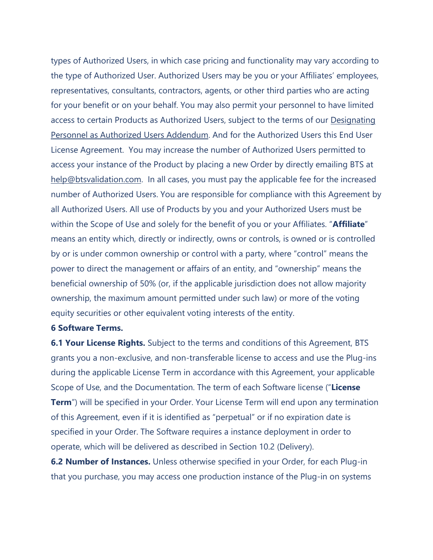types of Authorized Users, in which case pricing and functionality may vary according to the type of Authorized User. Authorized Users may be you or your Affiliates' employees, representatives, consultants, contractors, agents, or other third parties who are acting for your benefit or on your behalf. You may also permit your personnel to have limited access to certain Products as Authorized Users, subject to the terms of our [Designating](https://www.buschtechsolutions.com/legal-notices/designating-personnel/) Personnel as Authorized Users [Addendum.](https://www.buschtechsolutions.com/legal-notices/designating-personnel/) And for the Authorized Users this End User License Agreement. You may increase the number of Authorized Users permitted to access your instance of the Product by placing a new Order by directly emailing BTS at [help@btsvalidation.com.](mailto:help@btsvalidation.com) In all cases, you must pay the applicable fee for the increased number of Authorized Users. You are responsible for compliance with this Agreement by all Authorized Users. All use of Products by you and your Authorized Users must be within the Scope of Use and solely for the benefit of you or your Affiliates. "**Affiliate**" means an entity which, directly or indirectly, owns or controls, is owned or is controlled by or is under common ownership or control with a party, where "control" means the power to direct the management or affairs of an entity, and "ownership" means the beneficial ownership of 50% (or, if the applicable jurisdiction does not allow majority ownership, the maximum amount permitted under such law) or more of the voting equity securities or other equivalent voting interests of the entity.

## **6 Software Terms.**

**6.1 Your License Rights.** Subject to the terms and conditions of this Agreement, BTS grants you a non-exclusive, and non-transferable license to access and use the Plug-ins during the applicable License Term in accordance with this Agreement, your applicable Scope of Use, and the Documentation. The term of each Software license ("**License Term**") will be specified in your Order. Your License Term will end upon any termination of this Agreement, even if it is identified as "perpetual" or if no expiration date is specified in your Order. The Software requires a instance deployment in order to operate, which will be delivered as described in Section 10.2 (Delivery).

**6.2 Number of Instances.** Unless otherwise specified in your Order, for each Plug-in that you purchase, you may access one production instance of the Plug-in on systems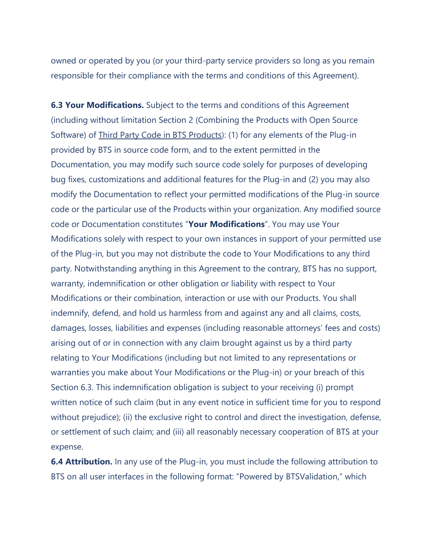owned or operated by you (or your third-party service providers so long as you remain responsible for their compliance with the terms and conditions of this Agreement).

**6.3 Your Modifications.** Subject to the terms and conditions of this Agreement (including without limitation Section 2 (Combining the Products with Open Source Software) of **Third Party Code in BTS Products**): (1) for any elements of the Plug-in provided by BTS in source code form, and to the extent permitted in the Documentation, you may modify such source code solely for purposes of developing bug fixes, customizations and additional features for the Plug-in and (2) you may also modify the Documentation to reflect your permitted modifications of the Plug-in source code or the particular use of the Products within your organization. Any modified source code or Documentation constitutes "**Your Modifications**". You may use Your Modifications solely with respect to your own instances in support of your permitted use of the Plug-in, but you may not distribute the code to Your Modifications to any third party. Notwithstanding anything in this Agreement to the contrary, BTS has no support, warranty, indemnification or other obligation or liability with respect to Your Modifications or their combination, interaction or use with our Products. You shall indemnify, defend, and hold us harmless from and against any and all claims, costs, damages, losses, liabilities and expenses (including reasonable attorneys' fees and costs) arising out of or in connection with any claim brought against us by a third party relating to Your Modifications (including but not limited to any representations or warranties you make about Your Modifications or the Plug-in) or your breach of this Section 6.3. This indemnification obligation is subject to your receiving (i) prompt written notice of such claim (but in any event notice in sufficient time for you to respond without prejudice); (ii) the exclusive right to control and direct the investigation, defense, or settlement of such claim; and (iii) all reasonably necessary cooperation of BTS at your expense.

**6.4 Attribution.** In any use of the Plug-in, you must include the following attribution to BTS on all user interfaces in the following format: "Powered by BTSValidation," which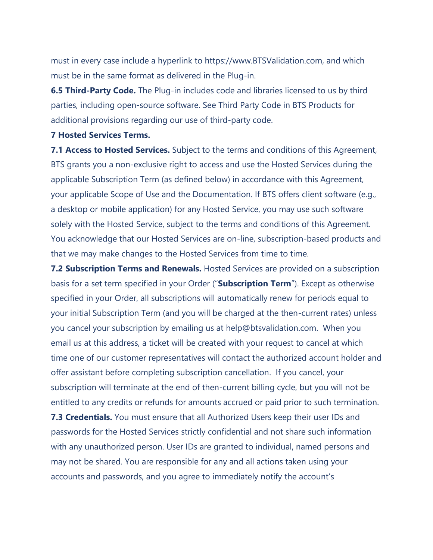must in every case include a hyperlink to https://www.BTSValidation.com, and which must be in the same format as delivered in the Plug-in.

**6.5 Third-Party Code.** The Plug-in includes code and libraries licensed to us by third parties, including open-source software. See [Third Party Code in BTS](https://www.buschtechsolutions.com/legal-notices/third-party-code/) Products for additional provisions regarding our use of third-party code.

#### **7 Hosted Services Terms.**

**7.1 Access to Hosted Services.** Subject to the terms and conditions of this Agreement, BTS grants you a non-exclusive right to access and use the Hosted Services during the applicable Subscription Term (as defined below) in accordance with this Agreement, your applicable Scope of Use and the Documentation. If BTS offers client software (e.g., a desktop or mobile application) for any Hosted Service, you may use such software solely with the Hosted Service, subject to the terms and conditions of this Agreement. You acknowledge that our Hosted Services are on-line, subscription-based products and that we may make changes to the Hosted Services from time to time.

**7.2 Subscription Terms and Renewals.** Hosted Services are provided on a subscription basis for a set term specified in your Order ("**Subscription Term**"). Except as otherwise specified in your Order, all subscriptions will automatically renew for periods equal to your initial Subscription Term (and you will be charged at the then-current rates) unless you cancel your subscription by emailing us at [help@btsvalidation.com.](mailto:help@btsvalidation.com) When you email us at this address, a ticket will be created with your request to cancel at which time one of our customer representatives will contact the authorized account holder and offer assistant before completing subscription cancellation. If you cancel, your subscription will terminate at the end of then-current billing cycle, but you will not be entitled to any credits or refunds for amounts accrued or paid prior to such termination. **7.3 Credentials.** You must ensure that all Authorized Users keep their user IDs and passwords for the Hosted Services strictly confidential and not share such information with any unauthorized person. User IDs are granted to individual, named persons and

accounts and passwords, and you agree to immediately notify the account's

may not be shared. You are responsible for any and all actions taken using your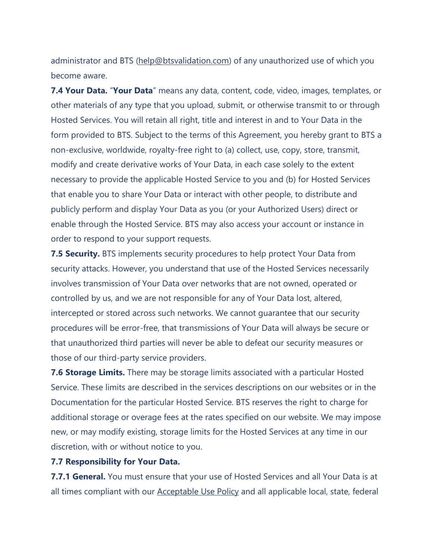administrator and BTS [\(help@btsvalidation.com\)](mailto:help@btsvalidation.com) of any unauthorized use of which you become aware.

**7.4 Your Data.** "**Your Data**" means any data, content, code, video, images, templates, or other materials of any type that you upload, submit, or otherwise transmit to or through Hosted Services. You will retain all right, title and interest in and to Your Data in the form provided to BTS. Subject to the terms of this Agreement, you hereby grant to BTS a non-exclusive, worldwide, royalty-free right to (a) collect, use, copy, store, transmit, modify and create derivative works of Your Data, in each case solely to the extent necessary to provide the applicable Hosted Service to you and (b) for Hosted Services that enable you to share Your Data or interact with other people, to distribute and publicly perform and display Your Data as you (or your Authorized Users) direct or enable through the Hosted Service. BTS may also access your account or instance in order to respond to your support requests.

**7.5 Security.** BTS implements security procedures to help protect Your Data from security attacks. However, you understand that use of the Hosted Services necessarily involves transmission of Your Data over networks that are not owned, operated or controlled by us, and we are not responsible for any of Your Data lost, altered, intercepted or stored across such networks. We cannot guarantee that our security procedures will be error-free, that transmissions of Your Data will always be secure or that unauthorized third parties will never be able to defeat our security measures or those of our third-party service providers.

**7.6 Storage Limits.** There may be storage limits associated with a particular Hosted Service. These limits are described in the services descriptions on our websites or in the Documentation for the particular Hosted Service. BTS reserves the right to charge for additional storage or overage fees at the rates specified on our website. We may impose new, or may modify existing, storage limits for the Hosted Services at any time in our discretion, with or without notice to you.

## **7.7 Responsibility for Your Data.**

**7.7.1 General.** You must ensure that your use of Hosted Services and all Your Data is at all times compliant with our **[Acceptable](https://www.buschtechsolutions.com/legal-notices/) Use Policy** and all applicable local, state, federal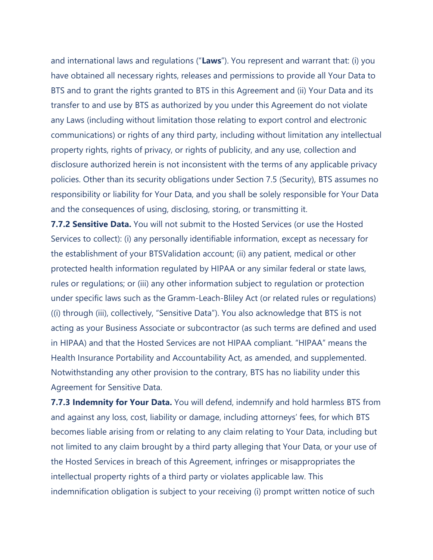and international laws and regulations ("**Laws**"). You represent and warrant that: (i) you have obtained all necessary rights, releases and permissions to provide all Your Data to BTS and to grant the rights granted to BTS in this Agreement and (ii) Your Data and its transfer to and use by BTS as authorized by you under this Agreement do not violate any Laws (including without limitation those relating to export control and electronic communications) or rights of any third party, including without limitation any intellectual property rights, rights of privacy, or rights of publicity, and any use, collection and disclosure authorized herein is not inconsistent with the terms of any applicable privacy policies. Other than its security obligations under Section 7.5 (Security), BTS assumes no responsibility or liability for Your Data, and you shall be solely responsible for Your Data and the consequences of using, disclosing, storing, or transmitting it.

**7.7.2 Sensitive Data.** You will not submit to the Hosted Services (or use the Hosted Services to collect): (i) any personally identifiable information, except as necessary for the establishment of your BTSValidation account; (ii) any patient, medical or other protected health information regulated by HIPAA or any similar federal or state laws, rules or regulations; or (iii) any other information subject to regulation or protection under specific laws such as the Gramm-Leach-Bliley Act (or related rules or regulations) ((i) through (iii), collectively, "Sensitive Data"). You also acknowledge that BTS is not acting as your Business Associate or subcontractor (as such terms are defined and used in HIPAA) and that the Hosted Services are not HIPAA compliant. "HIPAA" means the Health Insurance Portability and Accountability Act, as amended, and supplemented. Notwithstanding any other provision to the contrary, BTS has no liability under this Agreement for Sensitive Data.

**7.7.3 Indemnity for Your Data.** You will defend, indemnify and hold harmless BTS from and against any loss, cost, liability or damage, including attorneys' fees, for which BTS becomes liable arising from or relating to any claim relating to Your Data, including but not limited to any claim brought by a third party alleging that Your Data, or your use of the Hosted Services in breach of this Agreement, infringes or misappropriates the intellectual property rights of a third party or violates applicable law. This indemnification obligation is subject to your receiving (i) prompt written notice of such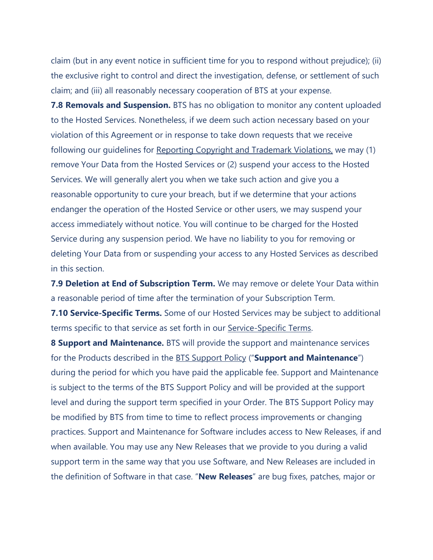claim (but in any event notice in sufficient time for you to respond without prejudice); (ii) the exclusive right to control and direct the investigation, defense, or settlement of such claim; and (iii) all reasonably necessary cooperation of BTS at your expense.

**7.8 Removals and Suspension.** BTS has no obligation to monitor any content uploaded to the Hosted Services. Nonetheless, if we deem such action necessary based on your violation of this Agreement or in response to take down requests that we receive following our guidelines for Reporting Copyright and [Trademark](https://www.buschtechsolutions.com/legal-notices/reporting-copyright-and-trademark-violations/) Violations, we may (1) remove Your Data from the Hosted Services or (2) suspend your access to the Hosted Services. We will generally alert you when we take such action and give you a reasonable opportunity to cure your breach, but if we determine that your actions endanger the operation of the Hosted Service or other users, we may suspend your access immediately without notice. You will continue to be charged for the Hosted Service during any suspension period. We have no liability to you for removing or deleting Your Data from or suspending your access to any Hosted Services as described in this section.

**7.9 Deletion at End of Subscription Term.** We may remove or delete Your Data within a reasonable period of time after the termination of your Subscription Term.

**7.10 Service-Specific Terms.** Some of our Hosted Services may be subject to additional terms specific to that service as set forth in our [Service-Specific Terms.](https://www.buschtechsolutions.com/legal-notices/service-specific-terms/)

**8 Support and Maintenance.** BTS will provide the support and maintenance services for the Products described in the BTS [Support](https://www.buschtechsolutions.com/legal-notices/bts-support-policy/) Policy ("**Support and Maintenance**") during the period for which you have paid the applicable fee. Support and Maintenance is subject to the terms of the BTS Support Policy and will be provided at the support level and during the support term specified in your Order. The BTS Support Policy may be modified by BTS from time to time to reflect process improvements or changing practices. Support and Maintenance for Software includes access to New Releases, if and when available. You may use any New Releases that we provide to you during a valid support term in the same way that you use Software, and New Releases are included in the definition of Software in that case. "**New Releases**" are bug fixes, patches, major or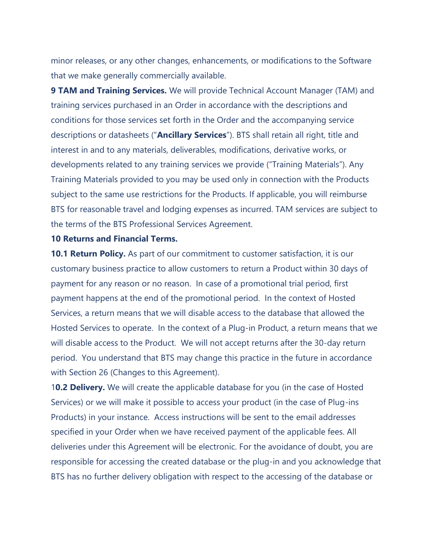minor releases, or any other changes, enhancements, or modifications to the Software that we make generally commercially available.

**9 TAM and Training Services.** We will provide Technical Account Manager (TAM) and training services purchased in an Order in accordance with the descriptions and conditions for those services set forth in the Order and the accompanying service descriptions or datasheets ("**Ancillary Services**"). BTS shall retain all right, title and interest in and to any materials, deliverables, modifications, derivative works, or developments related to any training services we provide ("Training Materials"). Any Training Materials provided to you may be used only in connection with the Products subject to the same use restrictions for the Products. If applicable, you will reimburse BTS for reasonable travel and lodging expenses as incurred. TAM services are subject to the terms of the BTS [Professional Services Agreement.](https://www.buschtechsolutions.com/legal-notices/professional-services-agreement/)

#### **10 Returns and Financial Terms.**

**10.1 Return Policy.** As part of our commitment to customer satisfaction, it is our customary business practice to allow customers to return a Product within 30 days of payment for any reason or no reason. In case of a promotional trial period, first payment happens at the end of the promotional period. In the context of Hosted Services, a return means that we will disable access to the database that allowed the Hosted Services to operate. In the context of a Plug-in Product, a return means that we will disable access to the Product. We will not accept returns after the 30-day return period. You understand that BTS may change this practice in the future in accordance with Section 26 (Changes to this Agreement).

1**0.2 Delivery.** We will create the applicable database for you (in the case of Hosted Services) or we will make it possible to access your product (in the case of Plug-ins Products) in your instance. Access instructions will be sent to the email addresses specified in your Order when we have received payment of the applicable fees. All deliveries under this Agreement will be electronic. For the avoidance of doubt, you are responsible for accessing the created database or the plug-in and you acknowledge that BTS has no further delivery obligation with respect to the accessing of the database or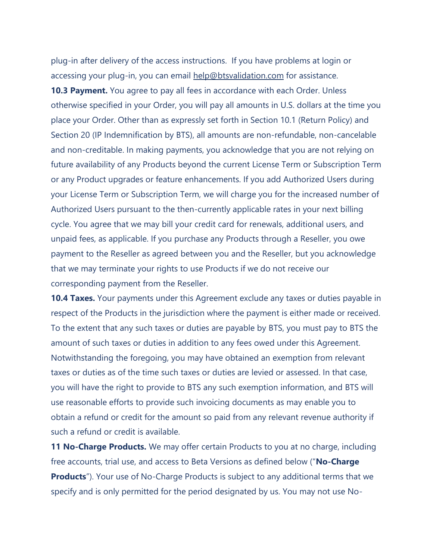plug-in after delivery of the access instructions. If you have problems at login or accessing your plug-in, you can email [help@btsvalidation.com](mailto:help@btsvalidatio.com) for assistance.

**10.3 Payment.** You agree to pay all fees in accordance with each Order. Unless otherwise specified in your Order, you will pay all amounts in U.S. dollars at the time you place your Order. Other than as expressly set forth in Section 10.1 (Return Policy) and Section 20 (IP Indemnification by BTS), all amounts are non-refundable, non-cancelable and non-creditable. In making payments, you acknowledge that you are not relying on future availability of any Products beyond the current License Term or Subscription Term or any Product upgrades or feature enhancements. If you add Authorized Users during your License Term or Subscription Term, we will charge you for the increased number of Authorized Users pursuant to the then-currently applicable rates in your next billing cycle. You agree that we may bill your credit card for renewals, additional users, and unpaid fees, as applicable. If you purchase any Products through a Reseller, you owe payment to the Reseller as agreed between you and the Reseller, but you acknowledge that we may terminate your rights to use Products if we do not receive our corresponding payment from the Reseller.

**10.4 Taxes.** Your payments under this Agreement exclude any taxes or duties payable in respect of the Products in the jurisdiction where the payment is either made or received. To the extent that any such taxes or duties are payable by BTS, you must pay to BTS the amount of such taxes or duties in addition to any fees owed under this Agreement. Notwithstanding the foregoing, you may have obtained an exemption from relevant taxes or duties as of the time such taxes or duties are levied or assessed. In that case, you will have the right to provide to BTS any such exemption information, and BTS will use reasonable efforts to provide such invoicing documents as may enable you to obtain a refund or credit for the amount so paid from any relevant revenue authority if such a refund or credit is available.

**11 No-Charge Products.** We may offer certain Products to you at no charge, including free accounts, trial use, and access to Beta Versions as defined below ("**No-Charge Products**"). Your use of No-Charge Products is subject to any additional terms that we specify and is only permitted for the period designated by us. You may not use No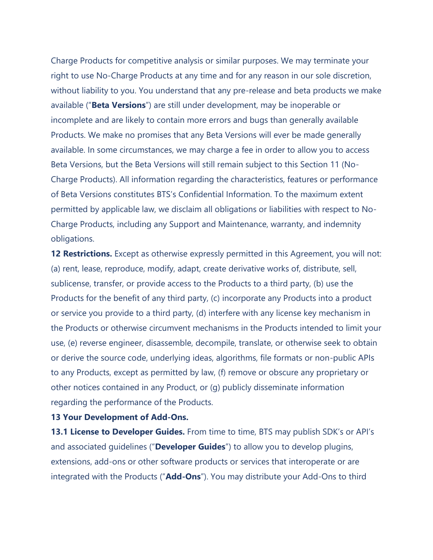Charge Products for competitive analysis or similar purposes. We may terminate your right to use No-Charge Products at any time and for any reason in our sole discretion, without liability to you. You understand that any pre-release and beta products we make available ("**Beta Versions**") are still under development, may be inoperable or incomplete and are likely to contain more errors and bugs than generally available Products. We make no promises that any Beta Versions will ever be made generally available. In some circumstances, we may charge a fee in order to allow you to access Beta Versions, but the Beta Versions will still remain subject to this Section 11 (No-Charge Products). All information regarding the characteristics, features or performance of Beta Versions constitutes BTS's Confidential Information. To the maximum extent permitted by applicable law, we disclaim all obligations or liabilities with respect to No-Charge Products, including any Support and Maintenance, warranty, and indemnity obligations.

**12 Restrictions.** Except as otherwise expressly permitted in this Agreement, you will not: (a) rent, lease, reproduce, modify, adapt, create derivative works of, distribute, sell, sublicense, transfer, or provide access to the Products to a third party, (b) use the Products for the benefit of any third party, (c) incorporate any Products into a product or service you provide to a third party, (d) interfere with any license key mechanism in the Products or otherwise circumvent mechanisms in the Products intended to limit your use, (e) reverse engineer, disassemble, decompile, translate, or otherwise seek to obtain or derive the source code, underlying ideas, algorithms, file formats or non-public APIs to any Products, except as permitted by law, (f) remove or obscure any proprietary or other notices contained in any Product, or (g) publicly disseminate information regarding the performance of the Products.

#### **13 Your Development of Add-Ons.**

**13.1 License to Developer Guides.** From time to time, BTS may publish SDK's or API's and associated guidelines ("**Developer Guides**") to allow you to develop plugins, extensions, add-ons or other software products or services that interoperate or are integrated with the Products ("**Add-Ons**"). You may distribute your Add-Ons to third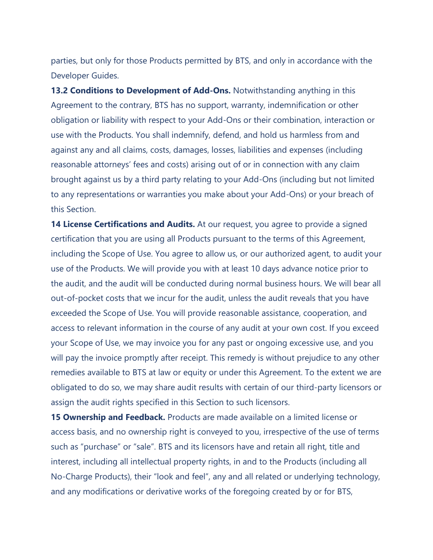parties, but only for those Products permitted by BTS, and only in accordance with the Developer Guides.

**13.2 Conditions to Development of Add-Ons.** Notwithstanding anything in this Agreement to the contrary, BTS has no support, warranty, indemnification or other obligation or liability with respect to your Add-Ons or their combination, interaction or use with the Products. You shall indemnify, defend, and hold us harmless from and against any and all claims, costs, damages, losses, liabilities and expenses (including reasonable attorneys' fees and costs) arising out of or in connection with any claim brought against us by a third party relating to your Add-Ons (including but not limited to any representations or warranties you make about your Add-Ons) or your breach of this Section.

**14 License Certifications and Audits.** At our request, you agree to provide a signed certification that you are using all Products pursuant to the terms of this Agreement, including the Scope of Use. You agree to allow us, or our authorized agent, to audit your use of the Products. We will provide you with at least 10 days advance notice prior to the audit, and the audit will be conducted during normal business hours. We will bear all out-of-pocket costs that we incur for the audit, unless the audit reveals that you have exceeded the Scope of Use. You will provide reasonable assistance, cooperation, and access to relevant information in the course of any audit at your own cost. If you exceed your Scope of Use, we may invoice you for any past or ongoing excessive use, and you will pay the invoice promptly after receipt. This remedy is without prejudice to any other remedies available to BTS at law or equity or under this Agreement. To the extent we are obligated to do so, we may share audit results with certain of our third-party licensors or assign the audit rights specified in this Section to such licensors.

**15 Ownership and Feedback.** Products are made available on a limited license or access basis, and no ownership right is conveyed to you, irrespective of the use of terms such as "purchase" or "sale". BTS and its licensors have and retain all right, title and interest, including all intellectual property rights, in and to the Products (including all No-Charge Products), their "look and feel", any and all related or underlying technology, and any modifications or derivative works of the foregoing created by or for BTS,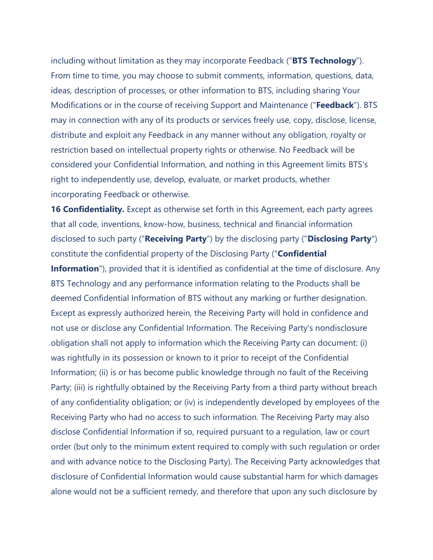including without limitation as they may incorporate Feedback ("**BTS Technology**"). From time to time, you may choose to submit comments, information, questions, data, ideas, description of processes, or other information to BTS, including sharing Your Modifications or in the course of receiving Support and Maintenance ("**Feedback**"). BTS may in connection with any of its products or services freely use, copy, disclose, license, distribute and exploit any Feedback in any manner without any obligation, royalty or restriction based on intellectual property rights or otherwise. No Feedback will be considered your Confidential Information, and nothing in this Agreement limits BTS's right to independently use, develop, evaluate, or market products, whether incorporating Feedback or otherwise.

**16 Confidentiality.** Except as otherwise set forth in this Agreement, each party agrees that all code, inventions, know-how, business, technical and financial information disclosed to such party ("**Receiving Party**") by the disclosing party ("**Disclosing Party**") constitute the confidential property of the Disclosing Party ("**Confidential Information**"), provided that it is identified as confidential at the time of disclosure. Any BTS Technology and any performance information relating to the Products shall be deemed Confidential Information of BTS without any marking or further designation. Except as expressly authorized herein, the Receiving Party will hold in confidence and not use or disclose any Confidential Information. The Receiving Party's nondisclosure obligation shall not apply to information which the Receiving Party can document: (i) was rightfully in its possession or known to it prior to receipt of the Confidential Information; (ii) is or has become public knowledge through no fault of the Receiving Party; (iii) is rightfully obtained by the Receiving Party from a third party without breach of any confidentiality obligation; or (iv) is independently developed by employees of the Receiving Party who had no access to such information. The Receiving Party may also disclose Confidential Information if so, required pursuant to a regulation, law or court order (but only to the minimum extent required to comply with such regulation or order and with advance notice to the Disclosing Party). The Receiving Party acknowledges that disclosure of Confidential Information would cause substantial harm for which damages alone would not be a sufficient remedy, and therefore that upon any such disclosure by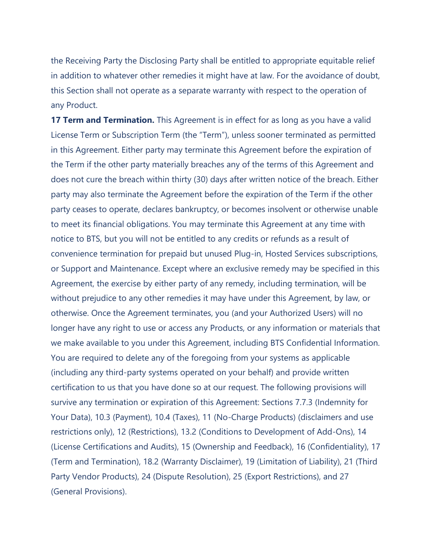the Receiving Party the Disclosing Party shall be entitled to appropriate equitable relief in addition to whatever other remedies it might have at law. For the avoidance of doubt, this Section shall not operate as a separate warranty with respect to the operation of any Product.

**17 Term and Termination.** This Agreement is in effect for as long as you have a valid License Term or Subscription Term (the "Term"), unless sooner terminated as permitted in this Agreement. Either party may terminate this Agreement before the expiration of the Term if the other party materially breaches any of the terms of this Agreement and does not cure the breach within thirty (30) days after written notice of the breach. Either party may also terminate the Agreement before the expiration of the Term if the other party ceases to operate, declares bankruptcy, or becomes insolvent or otherwise unable to meet its financial obligations. You may terminate this Agreement at any time with notice to BTS, but you will not be entitled to any credits or refunds as a result of convenience termination for prepaid but unused Plug-in, Hosted Services subscriptions, or Support and Maintenance. Except where an exclusive remedy may be specified in this Agreement, the exercise by either party of any remedy, including termination, will be without prejudice to any other remedies it may have under this Agreement, by law, or otherwise. Once the Agreement terminates, you (and your Authorized Users) will no longer have any right to use or access any Products, or any information or materials that we make available to you under this Agreement, including BTS Confidential Information. You are required to delete any of the foregoing from your systems as applicable (including any third-party systems operated on your behalf) and provide written certification to us that you have done so at our request. The following provisions will survive any termination or expiration of this Agreement: Sections 7.7.3 (Indemnity for Your Data), 10.3 (Payment), 10.4 (Taxes), 11 (No-Charge Products) (disclaimers and use restrictions only), 12 (Restrictions), 13.2 (Conditions to Development of Add-Ons), 14 (License Certifications and Audits), 15 (Ownership and Feedback), 16 (Confidentiality), 17 (Term and Termination), 18.2 (Warranty Disclaimer), 19 (Limitation of Liability), 21 (Third Party Vendor Products), 24 (Dispute Resolution), 25 (Export Restrictions), and 27 (General Provisions).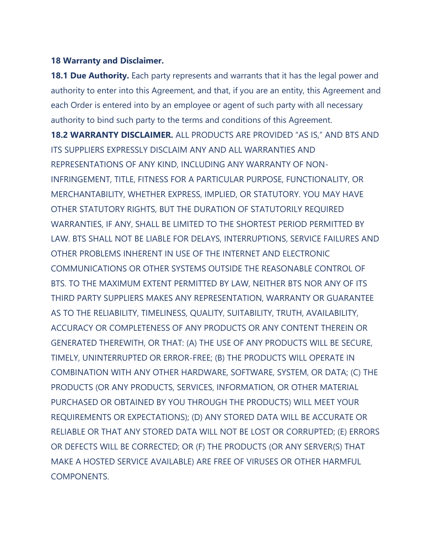#### **18 Warranty and Disclaimer.**

**18.1 Due Authority.** Each party represents and warrants that it has the legal power and authority to enter into this Agreement, and that, if you are an entity, this Agreement and each Order is entered into by an employee or agent of such party with all necessary authority to bind such party to the terms and conditions of this Agreement. **18.2 WARRANTY DISCLAIMER.** ALL PRODUCTS ARE PROVIDED "AS IS," AND BTS AND ITS SUPPLIERS EXPRESSLY DISCLAIM ANY AND ALL WARRANTIES AND REPRESENTATIONS OF ANY KIND, INCLUDING ANY WARRANTY OF NON-INFRINGEMENT, TITLE, FITNESS FOR A PARTICULAR PURPOSE, FUNCTIONALITY, OR MERCHANTABILITY, WHETHER EXPRESS, IMPLIED, OR STATUTORY. YOU MAY HAVE OTHER STATUTORY RIGHTS, BUT THE DURATION OF STATUTORILY REQUIRED WARRANTIES, IF ANY, SHALL BE LIMITED TO THE SHORTEST PERIOD PERMITTED BY LAW. BTS SHALL NOT BE LIABLE FOR DELAYS, INTERRUPTIONS, SERVICE FAILURES AND OTHER PROBLEMS INHERENT IN USE OF THE INTERNET AND ELECTRONIC COMMUNICATIONS OR OTHER SYSTEMS OUTSIDE THE REASONABLE CONTROL OF BTS. TO THE MAXIMUM EXTENT PERMITTED BY LAW, NEITHER BTS NOR ANY OF ITS THIRD PARTY SUPPLIERS MAKES ANY REPRESENTATION, WARRANTY OR GUARANTEE AS TO THE RELIABILITY, TIMELINESS, QUALITY, SUITABILITY, TRUTH, AVAILABILITY, ACCURACY OR COMPLETENESS OF ANY PRODUCTS OR ANY CONTENT THEREIN OR GENERATED THEREWITH, OR THAT: (A) THE USE OF ANY PRODUCTS WILL BE SECURE, TIMELY, UNINTERRUPTED OR ERROR-FREE; (B) THE PRODUCTS WILL OPERATE IN COMBINATION WITH ANY OTHER HARDWARE, SOFTWARE, SYSTEM, OR DATA; (C) THE PRODUCTS (OR ANY PRODUCTS, SERVICES, INFORMATION, OR OTHER MATERIAL PURCHASED OR OBTAINED BY YOU THROUGH THE PRODUCTS) WILL MEET YOUR REQUIREMENTS OR EXPECTATIONS); (D) ANY STORED DATA WILL BE ACCURATE OR RELIABLE OR THAT ANY STORED DATA WILL NOT BE LOST OR CORRUPTED; (E) ERRORS OR DEFECTS WILL BE CORRECTED; OR (F) THE PRODUCTS (OR ANY SERVER(S) THAT MAKE A HOSTED SERVICE AVAILABLE) ARE FREE OF VIRUSES OR OTHER HARMFUL COMPONENTS.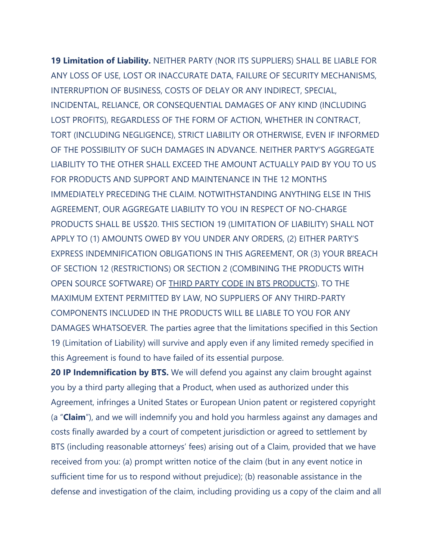**19 Limitation of Liability.** NEITHER PARTY (NOR ITS SUPPLIERS) SHALL BE LIABLE FOR ANY LOSS OF USE, LOST OR INACCURATE DATA, FAILURE OF SECURITY MECHANISMS, INTERRUPTION OF BUSINESS, COSTS OF DELAY OR ANY INDIRECT, SPECIAL, INCIDENTAL, RELIANCE, OR CONSEQUENTIAL DAMAGES OF ANY KIND (INCLUDING LOST PROFITS), REGARDLESS OF THE FORM OF ACTION, WHETHER IN CONTRACT, TORT (INCLUDING NEGLIGENCE), STRICT LIABILITY OR OTHERWISE, EVEN IF INFORMED OF THE POSSIBILITY OF SUCH DAMAGES IN ADVANCE. NEITHER PARTY'S AGGREGATE LIABILITY TO THE OTHER SHALL EXCEED THE AMOUNT ACTUALLY PAID BY YOU TO US FOR PRODUCTS AND SUPPORT AND MAINTENANCE IN THE 12 MONTHS IMMEDIATELY PRECEDING THE CLAIM. NOTWITHSTANDING ANYTHING ELSE IN THIS AGREEMENT, OUR AGGREGATE LIABILITY TO YOU IN RESPECT OF NO-CHARGE PRODUCTS SHALL BE US\$20. THIS SECTION 19 (LIMITATION OF LIABILITY) SHALL NOT APPLY TO (1) AMOUNTS OWED BY YOU UNDER ANY ORDERS, (2) EITHER PARTY'S EXPRESS INDEMNIFICATION OBLIGATIONS IN THIS AGREEMENT, OR (3) YOUR BREACH OF SECTION 12 (RESTRICTIONS) OR SECTION 2 (COMBINING THE PRODUCTS WITH OPEN SOURCE SOFTWARE) OF THIRD PARTY CODE IN BTS [PRODUCTS\)](https://www.buschtechsolutions.com/legal-notices/third-party-code/). TO THE MAXIMUM EXTENT PERMITTED BY LAW, NO SUPPLIERS OF ANY THIRD-PARTY COMPONENTS INCLUDED IN THE PRODUCTS WILL BE LIABLE TO YOU FOR ANY DAMAGES WHATSOEVER. The parties agree that the limitations specified in this Section 19 (Limitation of Liability) will survive and apply even if any limited remedy specified in this Agreement is found to have failed of its essential purpose.

**20 IP Indemnification by BTS.** We will defend you against any claim brought against you by a third party alleging that a Product, when used as authorized under this Agreement, infringes a United States or European Union patent or registered copyright (a "**Claim**"), and we will indemnify you and hold you harmless against any damages and costs finally awarded by a court of competent jurisdiction or agreed to settlement by BTS (including reasonable attorneys' fees) arising out of a Claim, provided that we have received from you: (a) prompt written notice of the claim (but in any event notice in sufficient time for us to respond without prejudice); (b) reasonable assistance in the defense and investigation of the claim, including providing us a copy of the claim and all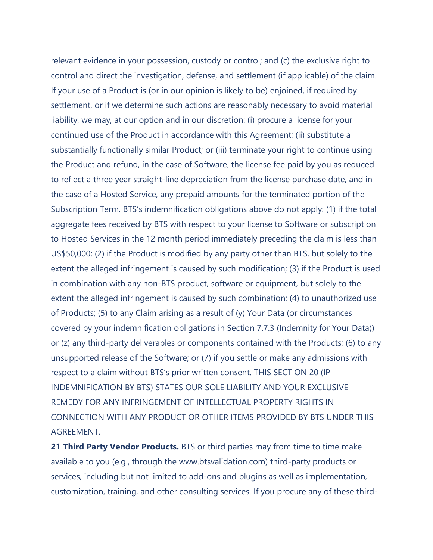relevant evidence in your possession, custody or control; and (c) the exclusive right to control and direct the investigation, defense, and settlement (if applicable) of the claim. If your use of a Product is (or in our opinion is likely to be) enjoined, if required by settlement, or if we determine such actions are reasonably necessary to avoid material liability, we may, at our option and in our discretion: (i) procure a license for your continued use of the Product in accordance with this Agreement; (ii) substitute a substantially functionally similar Product; or (iii) terminate your right to continue using the Product and refund, in the case of Software, the license fee paid by you as reduced to reflect a three year straight-line depreciation from the license purchase date, and in the case of a Hosted Service, any prepaid amounts for the terminated portion of the Subscription Term. BTS's indemnification obligations above do not apply: (1) if the total aggregate fees received by BTS with respect to your license to Software or subscription to Hosted Services in the 12 month period immediately preceding the claim is less than US\$50,000; (2) if the Product is modified by any party other than BTS, but solely to the extent the alleged infringement is caused by such modification; (3) if the Product is used in combination with any non-BTS product, software or equipment, but solely to the extent the alleged infringement is caused by such combination; (4) to unauthorized use of Products; (5) to any Claim arising as a result of (y) Your Data (or circumstances covered by your indemnification obligations in Section 7.7.3 (Indemnity for Your Data)) or (z) any third-party deliverables or components contained with the Products; (6) to any unsupported release of the Software; or (7) if you settle or make any admissions with respect to a claim without BTS's prior written consent. THIS SECTION 20 (IP INDEMNIFICATION BY BTS) STATES OUR SOLE LIABILITY AND YOUR EXCLUSIVE REMEDY FOR ANY INFRINGEMENT OF INTELLECTUAL PROPERTY RIGHTS IN CONNECTION WITH ANY PRODUCT OR OTHER ITEMS PROVIDED BY BTS UNDER THIS AGREEMENT.

**21 Third Party Vendor Products.** BTS or third parties may from time to time make available to you (e.g., through the www.btsvalidation.com) third-party products or services, including but not limited to add-ons and plugins as well as implementation, customization, training, and other consulting services. If you procure any of these third-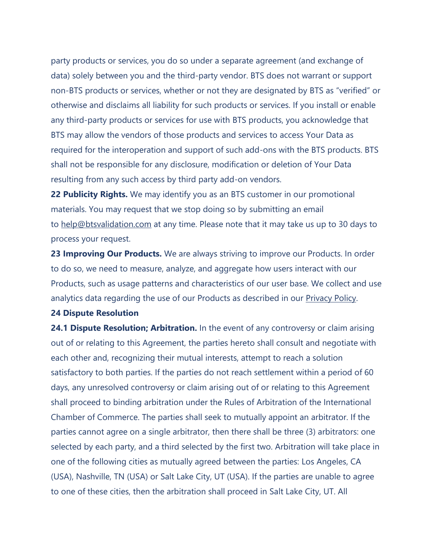party products or services, you do so under a separate agreement (and exchange of data) solely between you and the third-party vendor. BTS does not warrant or support non-BTS products or services, whether or not they are designated by BTS as "verified" or otherwise and disclaims all liability for such products or services. If you install or enable any third-party products or services for use with BTS products, you acknowledge that BTS may allow the vendors of those products and services to access Your Data as required for the interoperation and support of such add-ons with the BTS products. BTS shall not be responsible for any disclosure, modification or deletion of Your Data resulting from any such access by third party add-on vendors.

**22 Publicity Rights.** We may identify you as an BTS customer in our promotional materials. You may request that we stop doing so by submitting an email to [help@btsvalidation.com](mailto:help@btsvalidation.com) at any time. Please note that it may take us up to 30 days to process your request.

**23 Improving Our Products.** We are always striving to improve our Products. In order to do so, we need to measure, analyze, and aggregate how users interact with our Products, such as usage patterns and characteristics of our user base. We collect and use analytics data regarding the use of our Products as described in our [Privacy](https://www.buschtechsolutions.com/legal-notices/bts-privacy-policy/) Policy.

#### **24 Dispute Resolution**

**24.1 Dispute Resolution; Arbitration.** In the event of any controversy or claim arising out of or relating to this Agreement, the parties hereto shall consult and negotiate with each other and, recognizing their mutual interests, attempt to reach a solution satisfactory to both parties. If the parties do not reach settlement within a period of 60 days, any unresolved controversy or claim arising out of or relating to this Agreement shall proceed to binding arbitration under the Rules of Arbitration of the International Chamber of Commerce. The parties shall seek to mutually appoint an arbitrator. If the parties cannot agree on a single arbitrator, then there shall be three (3) arbitrators: one selected by each party, and a third selected by the first two. Arbitration will take place in one of the following cities as mutually agreed between the parties: Los Angeles, CA (USA), Nashville, TN (USA) or Salt Lake City, UT (USA). If the parties are unable to agree to one of these cities, then the arbitration shall proceed in Salt Lake City, UT. All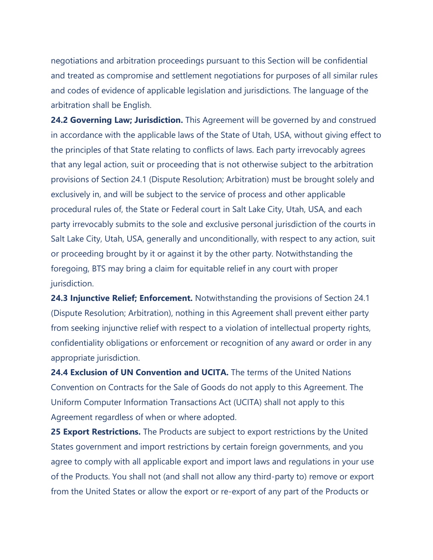negotiations and arbitration proceedings pursuant to this Section will be confidential and treated as compromise and settlement negotiations for purposes of all similar rules and codes of evidence of applicable legislation and jurisdictions. The language of the arbitration shall be English.

**24.2 Governing Law; Jurisdiction.** This Agreement will be governed by and construed in accordance with the applicable laws of the State of Utah, USA, without giving effect to the principles of that State relating to conflicts of laws. Each party irrevocably agrees that any legal action, suit or proceeding that is not otherwise subject to the arbitration provisions of Section 24.1 (Dispute Resolution; Arbitration) must be brought solely and exclusively in, and will be subject to the service of process and other applicable procedural rules of, the State or Federal court in Salt Lake City, Utah, USA, and each party irrevocably submits to the sole and exclusive personal jurisdiction of the courts in Salt Lake City, Utah, USA, generally and unconditionally, with respect to any action, suit or proceeding brought by it or against it by the other party. Notwithstanding the foregoing, BTS may bring a claim for equitable relief in any court with proper jurisdiction.

**24.3 Injunctive Relief; Enforcement.** Notwithstanding the provisions of Section 24.1 (Dispute Resolution; Arbitration), nothing in this Agreement shall prevent either party from seeking injunctive relief with respect to a violation of intellectual property rights, confidentiality obligations or enforcement or recognition of any award or order in any appropriate jurisdiction.

**24.4 Exclusion of UN Convention and UCITA.** The terms of the United Nations Convention on Contracts for the Sale of Goods do not apply to this Agreement. The Uniform Computer Information Transactions Act (UCITA) shall not apply to this Agreement regardless of when or where adopted.

**25 Export Restrictions.** The Products are subject to export restrictions by the United States government and import restrictions by certain foreign governments, and you agree to comply with all applicable export and import laws and regulations in your use of the Products. You shall not (and shall not allow any third-party to) remove or export from the United States or allow the export or re-export of any part of the Products or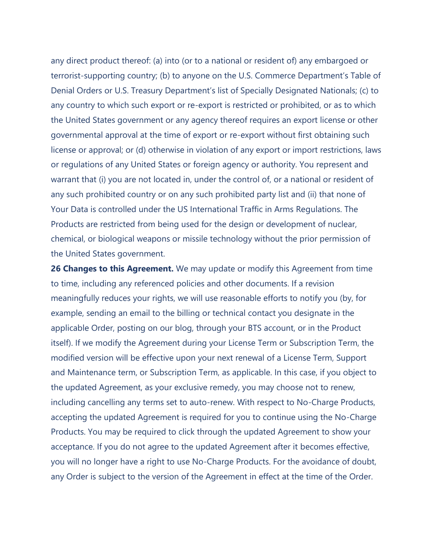any direct product thereof: (a) into (or to a national or resident of) any embargoed or terrorist-supporting country; (b) to anyone on the U.S. Commerce Department's Table of Denial Orders or U.S. Treasury Department's list of Specially Designated Nationals; (c) to any country to which such export or re-export is restricted or prohibited, or as to which the United States government or any agency thereof requires an export license or other governmental approval at the time of export or re-export without first obtaining such license or approval; or (d) otherwise in violation of any export or import restrictions, laws or regulations of any United States or foreign agency or authority. You represent and warrant that (i) you are not located in, under the control of, or a national or resident of any such prohibited country or on any such prohibited party list and (ii) that none of Your Data is controlled under the US International Traffic in Arms Regulations. The Products are restricted from being used for the design or development of nuclear, chemical, or biological weapons or missile technology without the prior permission of the United States government.

**26 Changes to this Agreement.** We may update or modify this Agreement from time to time, including any referenced policies and other documents. If a revision meaningfully reduces your rights, we will use reasonable efforts to notify you (by, for example, sending an email to the billing or technical contact you designate in the applicable Order, posting on our blog, through your BTS account, or in the Product itself). If we modify the Agreement during your License Term or Subscription Term, the modified version will be effective upon your next renewal of a License Term, Support and Maintenance term, or Subscription Term, as applicable. In this case, if you object to the updated Agreement, as your exclusive remedy, you may choose not to renew, including cancelling any terms set to auto-renew. With respect to No-Charge Products, accepting the updated Agreement is required for you to continue using the No-Charge Products. You may be required to click through the updated Agreement to show your acceptance. If you do not agree to the updated Agreement after it becomes effective, you will no longer have a right to use No-Charge Products. For the avoidance of doubt, any Order is subject to the version of the Agreement in effect at the time of the Order.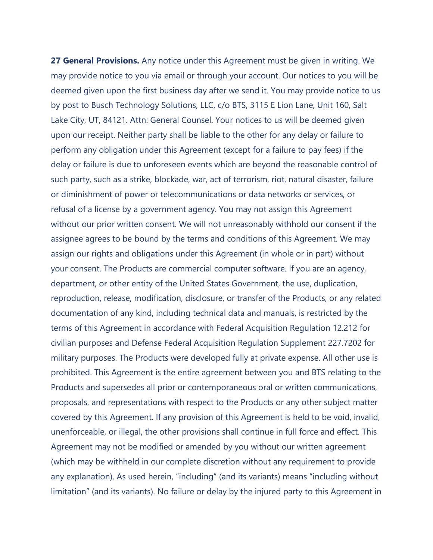**27 General Provisions.** Any notice under this Agreement must be given in writing. We may provide notice to you via email or through your account. Our notices to you will be deemed given upon the first business day after we send it. You may provide notice to us by post to Busch Technology Solutions, LLC, c/o BTS, 3115 E Lion Lane, Unit 160, Salt Lake City, UT, 84121. Attn: General Counsel. Your notices to us will be deemed given upon our receipt. Neither party shall be liable to the other for any delay or failure to perform any obligation under this Agreement (except for a failure to pay fees) if the delay or failure is due to unforeseen events which are beyond the reasonable control of such party, such as a strike, blockade, war, act of terrorism, riot, natural disaster, failure or diminishment of power or telecommunications or data networks or services, or refusal of a license by a government agency. You may not assign this Agreement without our prior written consent. We will not unreasonably withhold our consent if the assignee agrees to be bound by the terms and conditions of this Agreement. We may assign our rights and obligations under this Agreement (in whole or in part) without your consent. The Products are commercial computer software. If you are an agency, department, or other entity of the United States Government, the use, duplication, reproduction, release, modification, disclosure, or transfer of the Products, or any related documentation of any kind, including technical data and manuals, is restricted by the terms of this Agreement in accordance with Federal Acquisition Regulation 12.212 for civilian purposes and Defense Federal Acquisition Regulation Supplement 227.7202 for military purposes. The Products were developed fully at private expense. All other use is prohibited. This Agreement is the entire agreement between you and BTS relating to the Products and supersedes all prior or contemporaneous oral or written communications, proposals, and representations with respect to the Products or any other subject matter covered by this Agreement. If any provision of this Agreement is held to be void, invalid, unenforceable, or illegal, the other provisions shall continue in full force and effect. This Agreement may not be modified or amended by you without our written agreement (which may be withheld in our complete discretion without any requirement to provide any explanation). As used herein, "including" (and its variants) means "including without limitation" (and its variants). No failure or delay by the injured party to this Agreement in